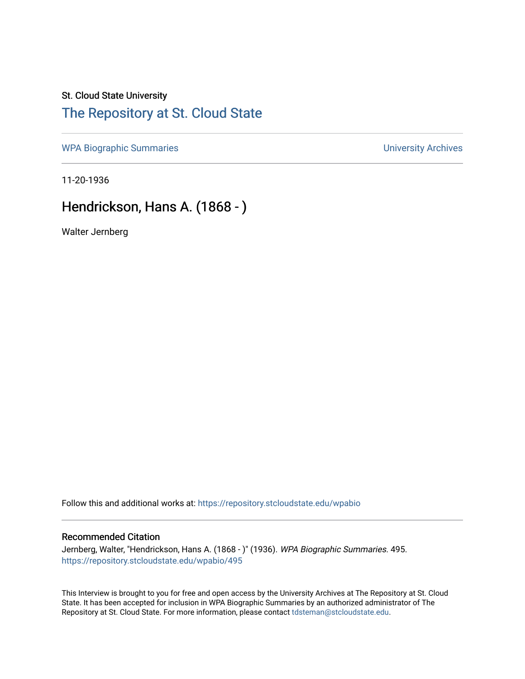## St. Cloud State University [The Repository at St. Cloud State](https://repository.stcloudstate.edu/)

[WPA Biographic Summaries](https://repository.stcloudstate.edu/wpabio) **WPA Biographic Summaries University Archives** 

11-20-1936

## Hendrickson, Hans A. (1868 - )

Walter Jernberg

Follow this and additional works at: [https://repository.stcloudstate.edu/wpabio](https://repository.stcloudstate.edu/wpabio?utm_source=repository.stcloudstate.edu%2Fwpabio%2F495&utm_medium=PDF&utm_campaign=PDFCoverPages) 

### Recommended Citation

Jernberg, Walter, "Hendrickson, Hans A. (1868 - )" (1936). WPA Biographic Summaries. 495. [https://repository.stcloudstate.edu/wpabio/495](https://repository.stcloudstate.edu/wpabio/495?utm_source=repository.stcloudstate.edu%2Fwpabio%2F495&utm_medium=PDF&utm_campaign=PDFCoverPages) 

This Interview is brought to you for free and open access by the University Archives at The Repository at St. Cloud State. It has been accepted for inclusion in WPA Biographic Summaries by an authorized administrator of The Repository at St. Cloud State. For more information, please contact [tdsteman@stcloudstate.edu.](mailto:tdsteman@stcloudstate.edu)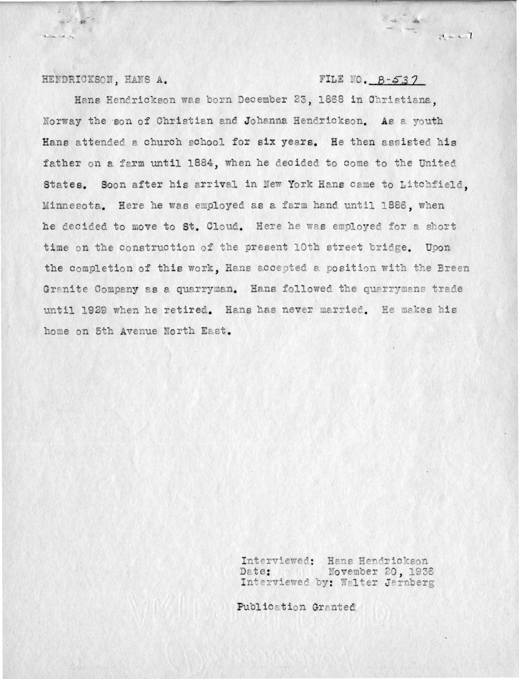#### HENDRICKSON, HANS A.

 $\mathcal{L}^{\text{max}}$ 

### FILE NO.  $B-537$

Hans Hendrickson was born December 23, 1868 in Christiana. Norway the son of Christian and Johanna Hendrickson. As a youth Hans attended a church school for six years. He then assisted his father on a farm until 1884, when he decided to come to the United States. Soon after his arrival in New York Hans came to Litchfield. Minnesota. Here he was employed as a farm hand until 1886, when he decided to move to St. Cloud. Here he was employed for a short time on the construction of the present 10th street bridge. Upon the completion of this work. Hans accepted a position with the Breen Granite Company as a quarryman. Hans followed the quarrymans trade until 1929 when he retired. Hans has never married. He makes his home on 5th Avenue North East.

> Interviewed: Hans Hendrickson November 20, 1936 Date: Interviewed by: Walter Jernberg

Publication Granted